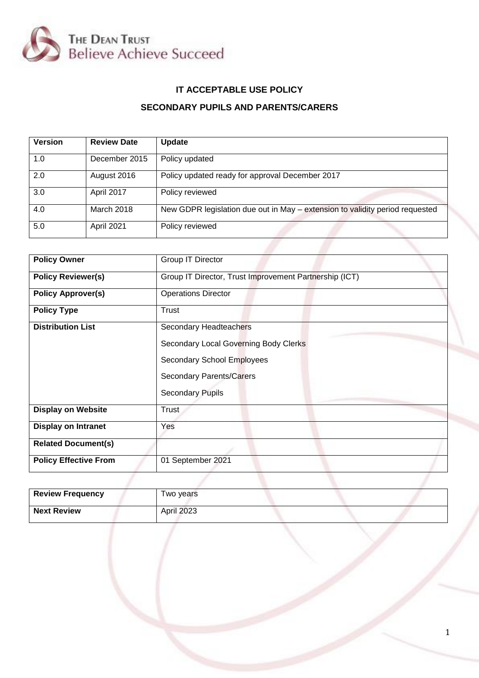

# **IT ACCEPTABLE USE POLICY**

## **SECONDARY PUPILS AND PARENTS/CARERS**

| <b>Version</b> | <b>Review Date</b> | <b>Update</b>                                                                |
|----------------|--------------------|------------------------------------------------------------------------------|
| 1.0            | December 2015      | Policy updated                                                               |
| 2.0            | August 2016        | Policy updated ready for approval December 2017                              |
| 3.0            | April 2017         | Policy reviewed                                                              |
| 4.0            | March 2018         | New GDPR legislation due out in May – extension to validity period requested |
| 5.0            | April 2021         | Policy reviewed                                                              |

| <b>Policy Owner</b>          | Group IT Director                                      |  |  |  |
|------------------------------|--------------------------------------------------------|--|--|--|
| <b>Policy Reviewer(s)</b>    | Group IT Director, Trust Improvement Partnership (ICT) |  |  |  |
| <b>Policy Approver(s)</b>    | <b>Operations Director</b>                             |  |  |  |
| <b>Policy Type</b>           | Trust                                                  |  |  |  |
| <b>Distribution List</b>     | Secondary Headteachers                                 |  |  |  |
|                              | Secondary Local Governing Body Clerks                  |  |  |  |
|                              | Secondary School Employees                             |  |  |  |
|                              | <b>Secondary Parents/Carers</b>                        |  |  |  |
|                              | <b>Secondary Pupils</b>                                |  |  |  |
| <b>Display on Website</b>    | Trust                                                  |  |  |  |
| <b>Display on Intranet</b>   | Yes                                                    |  |  |  |
| <b>Related Document(s)</b>   |                                                        |  |  |  |
| <b>Policy Effective From</b> | 01 September 2021                                      |  |  |  |
|                              |                                                        |  |  |  |

| <b>Review Frequency</b> | Two years         |
|-------------------------|-------------------|
| <b>Next Review</b>      | <b>April 2023</b> |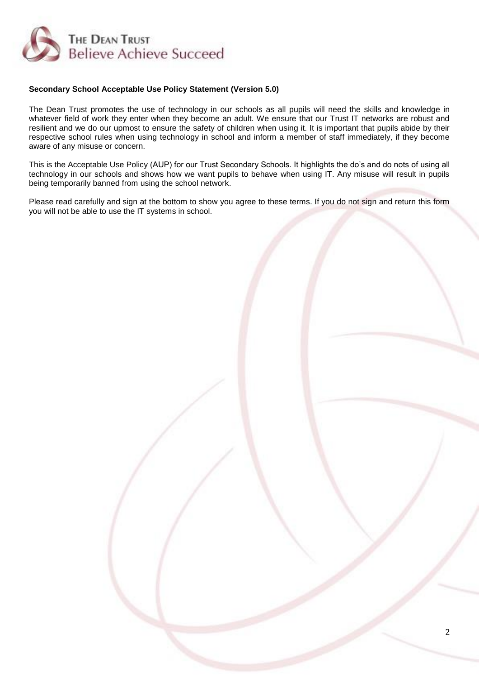

#### **Secondary School Acceptable Use Policy Statement (Version 5.0)**

The Dean Trust promotes the use of technology in our schools as all pupils will need the skills and knowledge in whatever field of work they enter when they become an adult. We ensure that our Trust IT networks are robust and resilient and we do our upmost to ensure the safety of children when using it. It is important that pupils abide by their respective school rules when using technology in school and inform a member of staff immediately, if they become aware of any misuse or concern.

This is the Acceptable Use Policy (AUP) for our Trust Secondary Schools. It highlights the do's and do nots of using all technology in our schools and shows how we want pupils to behave when using IT. Any misuse will result in pupils being temporarily banned from using the school network.

Please read carefully and sign at the bottom to show you agree to these terms. If you do not sign and return this form you will not be able to use the IT systems in school.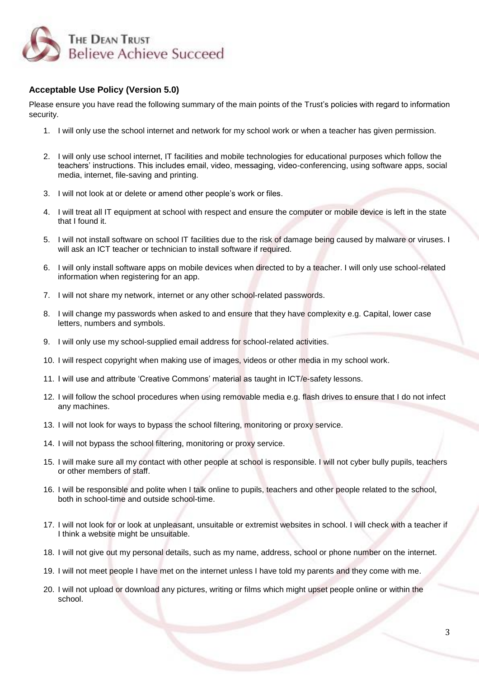

### **Acceptable Use Policy (Version 5.0)**

Please ensure you have read the following summary of the main points of the Trust's policies with regard to information security.

- 1. I will only use the school internet and network for my school work or when a teacher has given permission.
- 2. I will only use school internet, IT facilities and mobile technologies for educational purposes which follow the teachers' instructions. This includes email, video, messaging, video-conferencing, using software apps, social media, internet, file-saving and printing.
- 3. I will not look at or delete or amend other people's work or files.
- 4. I will treat all IT equipment at school with respect and ensure the computer or mobile device is left in the state that I found it.
- 5. I will not install software on school IT facilities due to the risk of damage being caused by malware or viruses. I will ask an ICT teacher or technician to install software if required.
- 6. I will only install software apps on mobile devices when directed to by a teacher. I will only use school-related information when registering for an app.
- 7. I will not share my network, internet or any other school-related passwords.
- 8. I will change my passwords when asked to and ensure that they have complexity e.g. Capital, lower case letters, numbers and symbols.
- 9. I will only use my school-supplied email address for school-related activities.
- 10. I will respect copyright when making use of images, videos or other media in my school work.
- 11. I will use and attribute 'Creative Commons' material as taught in ICT/e-safety lessons.
- 12. I will follow the school procedures when using removable media e.g. flash drives to ensure that I do not infect any machines.
- 13. I will not look for ways to bypass the school filtering, monitoring or proxy service.
- 14. I will not bypass the school filtering, monitoring or proxy service.
- 15. I will make sure all my contact with other people at school is responsible. I will not cyber bully pupils, teachers or other members of staff.
- 16. I will be responsible and polite when I talk online to pupils, teachers and other people related to the school, both in school-time and outside school-time.
- 17. I will not look for or look at unpleasant, unsuitable or extremist websites in school. I will check with a teacher if I think a website might be unsuitable.
- 18. I will not give out my personal details, such as my name, address, school or phone number on the internet.
- 19. I will not meet people I have met on the internet unless I have told my parents and they come with me.
- 20. I will not upload or download any pictures, writing or films which might upset people online or within the school.